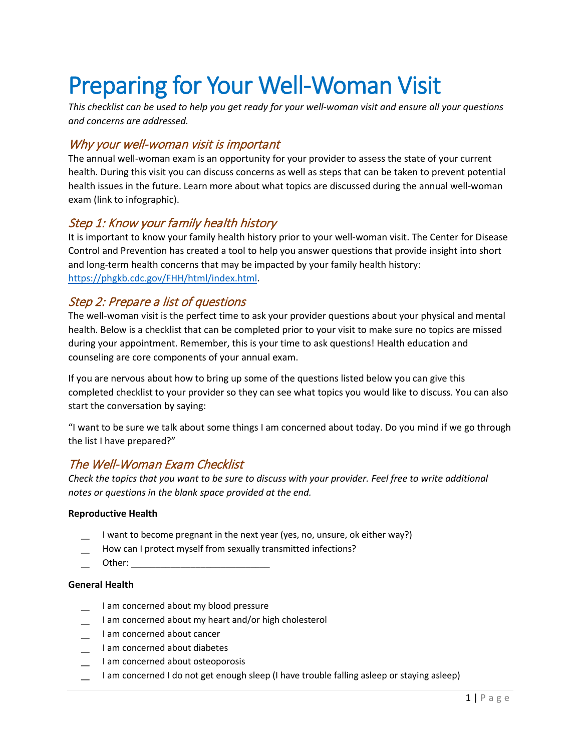# Preparing for Your Well-Woman Visit

*This checklist can be used to help you get ready for your well-woman visit and ensure all your questions and concerns are addressed.*

# Why your well-woman visit is important

The annual well-woman exam is an opportunity for your provider to assess the state of your current health. During this visit you can discuss concerns as well as steps that can be taken to prevent potential health issues in the future. Learn more about what topics are discussed during the annual well-woman exam (link to infographic).

## Step 1: Know your family health history

It is important to know your family health history prior to your well-woman visit. The Center for Disease Control and Prevention has created a tool to help you answer questions that provide insight into short and long-term health concerns that may be impacted by your family health history: [https://phgkb.cdc.gov/FHH/html/index.html.](https://phgkb.cdc.gov/FHH/html/index.html)

## Step 2: Prepare a list of questions

The well-woman visit is the perfect time to ask your provider questions about your physical and mental health. Below is a checklist that can be completed prior to your visit to make sure no topics are missed during your appointment. Remember, this is your time to ask questions! Health education and counseling are core components of your annual exam.

If you are nervous about how to bring up some of the questions listed below you can give this completed checklist to your provider so they can see what topics you would like to discuss. You can also start the conversation by saying:

"I want to be sure we talk about some things I am concerned about today. Do you mind if we go through the list I have prepared?"

## The Well-Woman Exam Checklist

*Check the topics that you want to be sure to discuss with your provider. Feel free to write additional notes or questions in the blank space provided at the end.*

### **Reproductive Health**

- I want to become pregnant in the next year (yes, no, unsure, ok either way?)
- How can I protect myself from sexually transmitted infections?
- Other:  $\Box$

## **General Health**

- I am concerned about my blood pressure
- I am concerned about my heart and/or high cholesterol
- ͟ I am concerned about cancer
- ͟ I am concerned about diabetes
- I am concerned about osteoporosis
- ͟ I am concerned I do not get enough sleep (I have trouble falling asleep or staying asleep)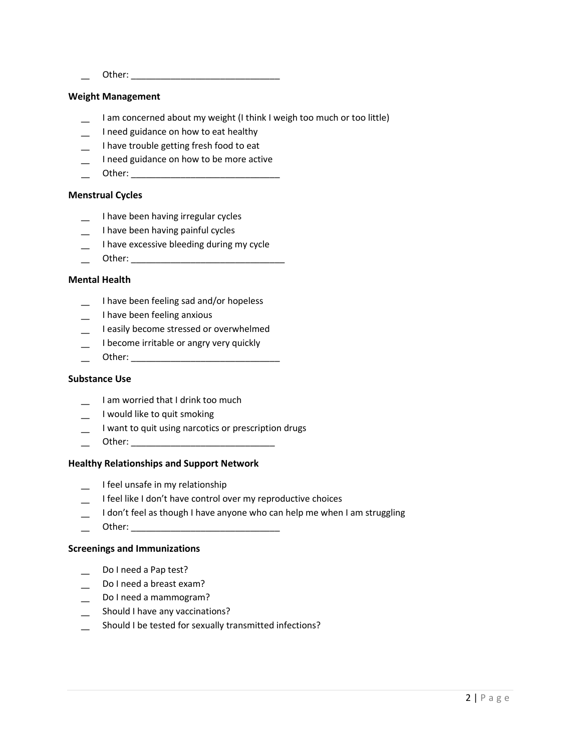͟ Other: \_\_\_\_\_\_\_\_\_\_\_\_\_\_\_\_\_\_\_\_\_\_\_\_\_\_\_\_\_\_

#### **Weight Management**

- I am concerned about my weight (I think I weigh too much or too little)
- ͟ I need guidance on how to eat healthy
- ͟ I have trouble getting fresh food to eat
- ͟ I need guidance on how to be more active
- ͟ Other: \_\_\_\_\_\_\_\_\_\_\_\_\_\_\_\_\_\_\_\_\_\_\_\_\_\_\_\_\_\_

#### **Menstrual Cycles**

- ͟ I have been having irregular cycles
- I have been having painful cycles
- I have excessive bleeding during my cycle
- ͟ Other: \_\_\_\_\_\_\_\_\_\_\_\_\_\_\_\_\_\_\_\_\_\_\_\_\_\_\_\_\_\_\_

#### **Mental Health**

- ͟ I have been feeling sad and/or hopeless
- ͟ I have been feeling anxious
- ͟ I easily become stressed or overwhelmed
- I become irritable or angry very quickly
- Other:  $\Box$

#### **Substance Use**

- ͟ I am worried that I drink too much
- ͟ I would like to quit smoking
- I want to quit using narcotics or prescription drugs
- ͟ Other: \_\_\_\_\_\_\_\_\_\_\_\_\_\_\_\_\_\_\_\_\_\_\_\_\_\_\_\_\_

#### **Healthy Relationships and Support Network**

- ͟ I feel unsafe in my relationship
- I feel like I don't have control over my reproductive choices
- I don't feel as though I have anyone who can help me when I am struggling
- ͟ Other: \_\_\_\_\_\_\_\_\_\_\_\_\_\_\_\_\_\_\_\_\_\_\_\_\_\_\_\_\_\_

#### **Screenings and Immunizations**

- Do I need a Pap test?
- Do I need a breast exam?
- Do I need a mammogram?
- Should I have any vaccinations?
- Should I be tested for sexually transmitted infections?